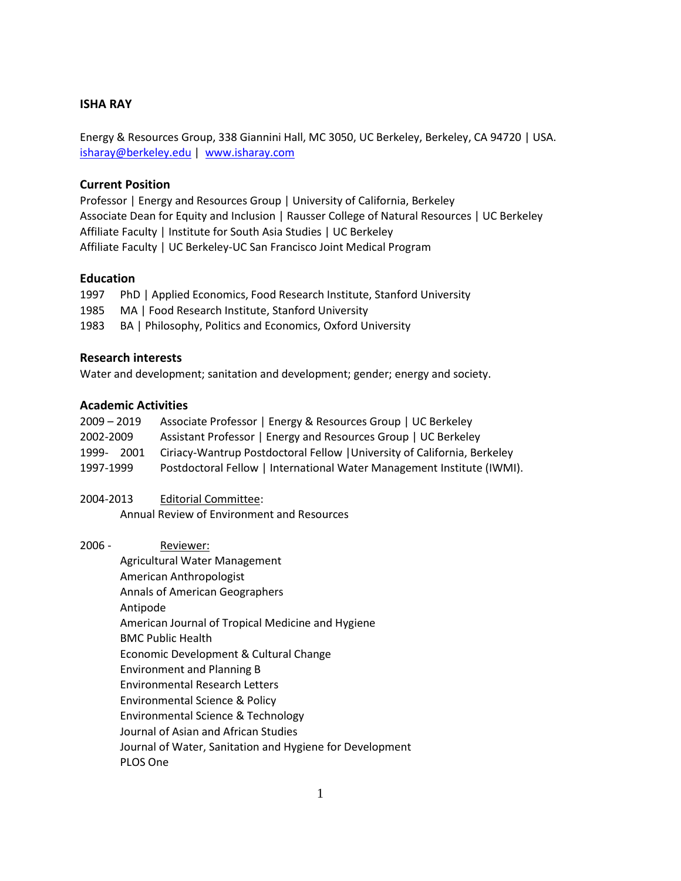### **ISHA RAY**

Energy & Resources Group, 338 Giannini Hall, MC 3050, UC Berkeley, Berkeley, CA 94720 | USA. [isharay@berkeley.edu](mailto:isharay@berkeley.edu) | [www.isharay.com](http://isharay.com/)

#### **Current Position**

Professor | Energy and Resources Group | University of California, Berkeley Associate Dean for Equity and Inclusion | Rausser College of Natural Resources | UC Berkeley Affiliate Faculty | Institute for South Asia Studies | UC Berkeley Affiliate Faculty | UC Berkeley-UC San Francisco Joint Medical Program

#### **Education**

1997 PhD | Applied Economics, Food Research Institute, Stanford University

1985 MA | Food Research Institute, Stanford University

1983 BA | Philosophy, Politics and Economics, Oxford University

#### **Research interests**

Water and development; sanitation and development; gender; energy and society.

#### **Academic Activities**

| $2009 - 2019$ | Associate Professor   Energy & Resources Group   UC Berkeley             |
|---------------|--------------------------------------------------------------------------|
| 2002-2009     | Assistant Professor   Energy and Resources Group   UC Berkeley           |
| 1999- 2001    | Ciriacy-Wantrup Postdoctoral Fellow   University of California, Berkeley |
| 1997-1999     | Postdoctoral Fellow   International Water Management Institute (IWMI).   |

2004-2013 Editorial Committee:

Annual Review of Environment and Resources

2006 - Reviewer: Agricultural Water Management American Anthropologist Annals of American Geographers Antipode American Journal of Tropical Medicine and Hygiene BMC Public Health Economic Development & Cultural Change Environment and Planning B Environmental Research Letters Environmental Science & Policy Environmental Science & Technology Journal of Asian and African Studies Journal of Water, Sanitation and Hygiene for Development PLOS One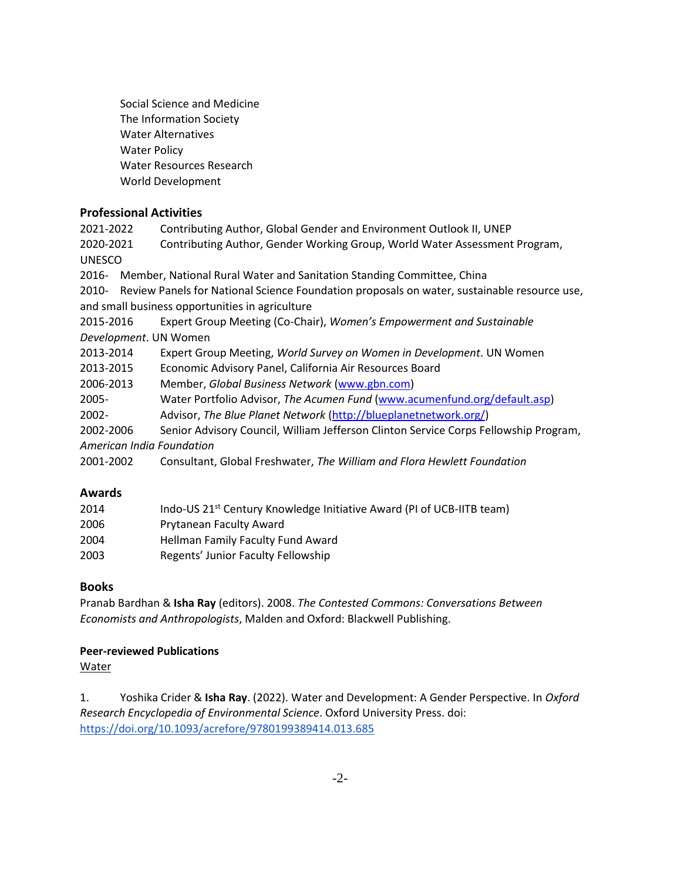Social Science and Medicine The Information Society Water Alternatives Water Policy Water Resources Research World Development

### **Professional Activities**

2021-2022 Contributing Author, Global Gender and Environment Outlook II, UNEP 2020-2021 Contributing Author, Gender Working Group, World Water Assessment Program, UNESCO 2016- Member, National Rural Water and Sanitation Standing Committee, China 2010- Review Panels for National Science Foundation proposals on water, sustainable resource use, and small business opportunities in agriculture 2015-2016 Expert Group Meeting (Co-Chair), *Women's Empowerment and Sustainable Development*. UN Women 2013-2014 Expert Group Meeting, *World Survey on Women in Development*. UN Women 2013-2015 Economic Advisory Panel, California Air Resources Board 2006-2013 Member, *Global Business Network* [\(www.gbn.com\)](http://www.gbn.com/) 2005- Water Portfolio Advisor, *The Acumen Fund* [\(www.acumenfund.org/default.asp\)](http://www.acumenfund.org/default.asp) 2002- Advisor, *The Blue Planet Network* [\(http://blueplanetnetwork.org/\)](http://blueplanetnetwork.org/) 2002-2006 Senior Advisory Council, William Jefferson Clinton Service Corps Fellowship Program, *American India Foundation* 2001-2002 Consultant, Global Freshwater, *The William and Flora Hewlett Foundation*

### **Awards**

| 2014 | Indo-US 21 <sup>st</sup> Century Knowledge Initiative Award (PI of UCB-IITB team) |
|------|-----------------------------------------------------------------------------------|
| 2006 | Prytanean Faculty Award                                                           |
| 2004 | <b>Hellman Family Faculty Fund Award</b>                                          |
| 2003 | Regents' Junior Faculty Fellowship                                                |

# **Books**

Pranab Bardhan & **Isha Ray** (editors). 2008. *The Contested Commons: Conversations Between Economists and Anthropologists*, Malden and Oxford: Blackwell Publishing.

# **Peer-reviewed Publications**

Water

1. Yoshika Crider & **Isha Ray**. (2022). Water and Development: A Gender Perspective. In *Oxford Research Encyclopedia of Environmental Science*. Oxford University Press. doi: <https://doi.org/10.1093/acrefore/9780199389414.013.685>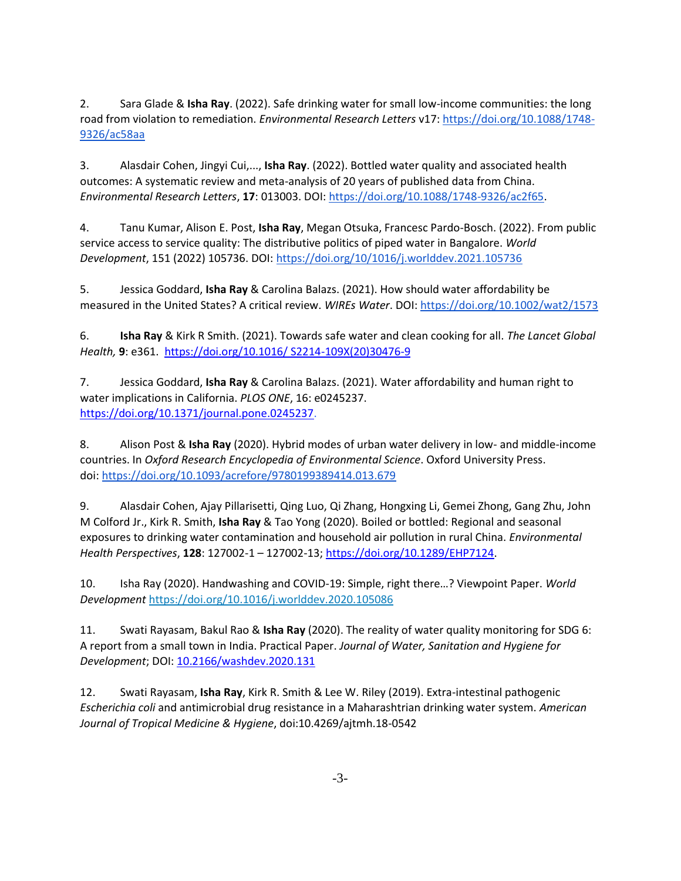2. Sara Glade & **Isha Ray**. (2022). Safe drinking water for small low-income communities: the long road from violation to remediation. *Environmental Research Letters* v17: [https://doi.org/10.1088/1748-](https://doi.org/10.1088/1748-9326/ac58aa) [9326/ac58aa](https://doi.org/10.1088/1748-9326/ac58aa)

3. Alasdair Cohen, Jingyi Cui,..., **Isha Ray**. (2022). Bottled water quality and associated health outcomes: A systematic review and meta-analysis of 20 years of published data from China. *Environmental Research Letters*, **17**: 013003. DOI[: https://doi.org/10.1088/1748-9326/ac2f65.](https://doi.org/10.1088/1748-9326/ac2f65)

4. Tanu Kumar, Alison E. Post, **Isha Ray**, Megan Otsuka, Francesc Pardo-Bosch. (2022). From public service access to service quality: The distributive politics of piped water in Bangalore. *World Development*, 151 (2022) 105736. DOI:<https://doi.org/10/1016/j.worlddev.2021.105736>

5. Jessica Goddard, **Isha Ray** & Carolina Balazs. (2021). How should water affordability be measured in the United States? A critical review. *WIREs Water*. DOI:<https://doi.org/10.1002/wat2/1573>

6. **Isha Ray** & Kirk R Smith. (2021). Towards safe water and clean cooking for all. *The Lancet Global Health,* **9**: e361. [https://doi.org/10.1016/ S2214-109X\(20\)30476-9](https://doi.org/10.1016/%20S2214-109X(20)30476-9) 

7. Jessica Goddard, **Isha Ray** & Carolina Balazs. (2021). Water affordability and human right to water implications in California. *PLOS ONE*, 16: e0245237. [https://doi.org/10.1371/journal.pone.0245237.](https://doi.org/10.1371/journal.pone.0245237)

8. Alison Post & **Isha Ray** (2020). Hybrid modes of urban water delivery in low- and middle-income countries. In *Oxford Research Encyclopedia of Environmental Science*. Oxford University Press. doi: <https://doi.org/10.1093/acrefore/9780199389414.013.679>

9. Alasdair Cohen, Ajay Pillarisetti, Qing Luo, Qi Zhang, Hongxing Li, Gemei Zhong, Gang Zhu, John M Colford Jr., Kirk R. Smith, **Isha Ray** & Tao Yong (2020). Boiled or bottled: Regional and seasonal exposures to drinking water contamination and household air pollution in rural China. *Environmental Health Perspectives*, **128**: 127002-1 – 127002-13; [https://doi.org/10.1289/EHP7124.](https://doi.org/10.1289/EHP7124)

10. Isha Ray (2020). Handwashing and COVID-19: Simple, right there…? Viewpoint Paper. *World Development* <https://doi.org/10.1016/j.worlddev.2020.105086>

11. Swati Rayasam, Bakul Rao & **Isha Ray** (2020). The reality of water quality monitoring for SDG 6: A report from a small town in India. Practical Paper. *Journal of Water, Sanitation and Hygiene for Development*; DOI: [10.2166/washdev.2020.131](https://www.researchgate.net/deref/http%3A%2F%2Fdx.doi.org%2F10.2166%2Fwashdev.2020.131?_sg%5B0%5D=LjPM56iVdSmoLdONUe2D0XM0RsWP4KM4wafDnIq7Zf1nbSQbJV2i0VF7zYabrOulBLR1axBy-4R4B2rxg6OTxKBwJg.SczVY1o3Kccno9FEGyjbnz6xU7-nwqgh36cW4SbQ6xyAO9wAsi2RHlL03UQ6sqXbEuE1zpO_zc8WFhfhNSRnwg)

12. Swati Rayasam, **Isha Ray**, Kirk R. Smith & Lee W. Riley (2019). Extra-intestinal pathogenic *Escherichia coli* and antimicrobial drug resistance in a Maharashtrian drinking water system. *American Journal of Tropical Medicine & Hygiene*, doi:10.4269/ajtmh.18-0542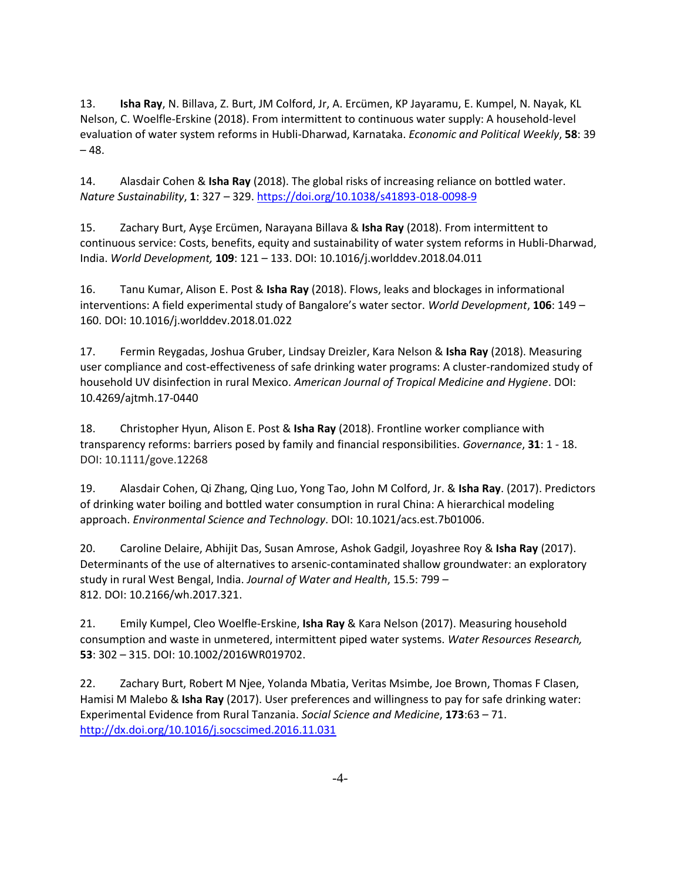13. **Isha Ray**, N. Billava, Z. Burt, JM Colford, Jr, A. Ercümen, KP Jayaramu, E. Kumpel, N. Nayak, KL Nelson, C. Woelfle-Erskine (2018). From intermittent to continuous water supply: A household-level evaluation of water system reforms in Hubli-Dharwad, Karnataka. *Economic and Political Weekly*, **58**: 39 – 48.

14. Alasdair Cohen & **Isha Ray** (2018). The global risks of increasing reliance on bottled water. *Nature Sustainability*, **1**: 327 – 329.<https://doi.org/10.1038/s41893-018-0098-9>

15. Zachary Burt, Ayşe Ercümen, Narayana Billava & **Isha Ray** (2018). From intermittent to continuous service: Costs, benefits, equity and sustainability of water system reforms in Hubli-Dharwad, India. *World Development,* **109**: 121 – 133. DOI: 10.1016/j.worlddev.2018.04.011

16. Tanu Kumar, Alison E. Post & **Isha Ray** (2018). Flows, leaks and blockages in informational interventions: A field experimental study of Bangalore's water sector. *World Development*, **106**: 149 – 160. DOI: [10.1016/j.worlddev.2018.01.022](https://doi.org/10.1016/j.worlddev.2018.01.022)

17. Fermin Reygadas, Joshua Gruber, Lindsay Dreizler, Kara Nelson & **Isha Ray** (2018). Measuring user compliance and cost-effectiveness of safe drinking water programs: A cluster-randomized study of household UV disinfection in rural Mexico. *American Journal of Tropical Medicine and Hygiene*. DOI: 10.4269/ajtmh.17-0440

18. Christopher Hyun, Alison E. Post & **Isha Ray** (2018). Frontline worker compliance with transparency reforms: barriers posed by family and financial responsibilities. *Governance*, **31**: 1 - 18. DOI: 10.1111/gove.12268

19. Alasdair Cohen, Qi Zhang, Qing Luo, Yong Tao, John M Colford, Jr. & **Isha Ray**. (2017). Predictors of drinking water boiling and bottled water consumption in rural China: A hierarchical modeling approach. *Environmental Science and Technology*. DOI: 10.1021/acs.est.7b01006.

20. Caroline Delaire, Abhijit Das, Susan Amrose, Ashok Gadgil, Joyashree Roy & **Isha Ray** (2017). Determinants of the use of alternatives to arsenic-contaminated shallow groundwater: an exploratory study in rural West Bengal, India. *Journal of Water and Health*, 15.5: 799 – 812. DOI: 10.2166/wh.2017.321.

21. Emily Kumpel, Cleo Woelfle-Erskine, **Isha Ray** & Kara Nelson (2017). Measuring household consumption and waste in unmetered, intermittent piped water systems. *Water Resources Research,*  **53**: 302 – 315. DOI: 10.1002/2016WR019702.

22. Zachary Burt, Robert M Njee, Yolanda Mbatia, Veritas Msimbe, Joe Brown, Thomas F Clasen, Hamisi M Malebo & **Isha Ray** (2017). User preferences and willingness to pay for safe drinking water: Experimental Evidence from Rural Tanzania. *Social Science and Medicine*, **173**:63 – 71. <http://dx.doi.org/10.1016/j.socscimed.2016.11.031>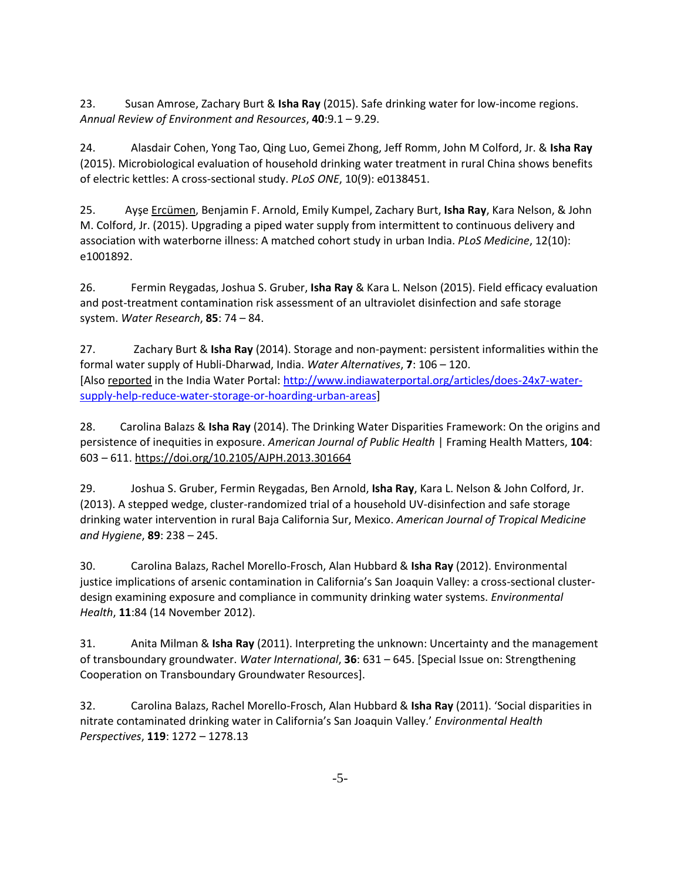23. Susan Amrose, Zachary Burt & **Isha Ray** (2015). Safe drinking water for low-income regions. *Annual Review of Environment and Resources*, **40**:9.1 – 9.29.

24. Alasdair Cohen, Yong Tao, Qing Luo, Gemei Zhong, Jeff Romm, John M Colford, Jr. & **Isha Ray** (2015). Microbiological evaluation of household drinking water treatment in rural China shows benefits of electric kettles: A cross-sectional study. *PLoS ONE*, 10(9): e0138451.

25. Ayşe Ercümen, Benjamin F. Arnold, Emily Kumpel, Zachary Burt, **Isha Ray**, Kara Nelson, & John M. Colford, Jr. (2015). Upgrading a piped water supply from intermittent to continuous delivery and association with waterborne illness: A matched cohort study in urban India. *PLoS Medicine*, 12(10): e1001892.

26. Fermin Reygadas, Joshua S. Gruber, **Isha Ray** & Kara L. Nelson (2015). Field efficacy evaluation and post-treatment contamination risk assessment of an ultraviolet disinfection and safe storage system. *Water Research*, **85**: 74 – 84.

27. Zachary Burt & **Isha Ray** (2014). Storage and non-payment: persistent informalities within the formal water supply of Hubli-Dharwad, India. *Water Alternatives*, **7**: 106 – 120. [Also reported in the India Water Portal[: http://www.indiawaterportal.org/articles/does-24x7-water](http://www.indiawaterportal.org/articles/does-24x7-water-supply-help-reduce-water-storage-or-hoarding-urban-areas)[supply-help-reduce-water-storage-or-hoarding-urban-areas\]](http://www.indiawaterportal.org/articles/does-24x7-water-supply-help-reduce-water-storage-or-hoarding-urban-areas)

28. Carolina Balazs & **Isha Ray** (2014). The Drinking Water Disparities Framework: On the origins and persistence of inequities in exposure. *American Journal of Public Health* | Framing Health Matters, **104**: 603 – 611.<https://doi.org/10.2105/AJPH.2013.301664>

29. Joshua S. Gruber, Fermin Reygadas, Ben Arnold, **Isha Ray**, Kara L. Nelson & John Colford, Jr. (2013). A stepped wedge, cluster-randomized trial of a household UV-disinfection and safe storage drinking water intervention in rural Baja California Sur, Mexico. *American Journal of Tropical Medicine and Hygiene*, **89**: 238 – 245.

30. Carolina Balazs, Rachel Morello-Frosch, Alan Hubbard & **Isha Ray** (2012). Environmental justice implications of arsenic contamination in California's San Joaquin Valley: a cross-sectional clusterdesign examining exposure and compliance in community drinking water systems. *Environmental Health*, **11**:84 (14 November 2012).

31. Anita Milman & **Isha Ray** (2011). Interpreting the unknown: Uncertainty and the management of transboundary groundwater. *Water International*, **36**: 631 – 645. [Special Issue on: Strengthening Cooperation on Transboundary Groundwater Resources].

32. Carolina Balazs, Rachel Morello-Frosch, Alan Hubbard & **Isha Ray** (2011). 'Social disparities in nitrate contaminated drinking water in California's San Joaquin Valley.' *Environmental Health Perspectives*, **119**: 1272 – 1278.13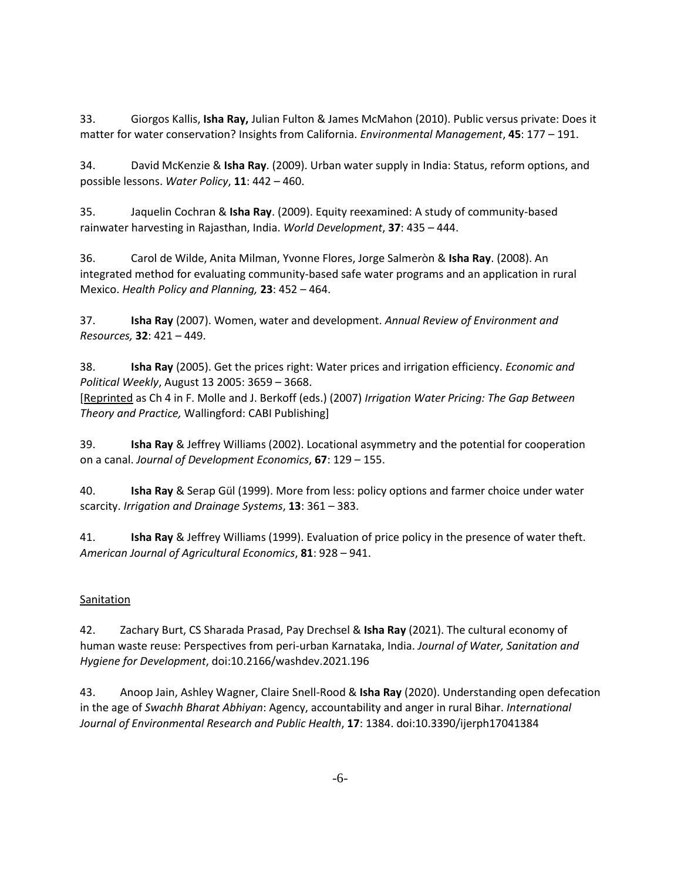33. Giorgos Kallis, **Isha Ray,** Julian Fulton & James McMahon (2010). Public versus private: Does it matter for water conservation? Insights from California. *Environmental Management*, **45**: 177 – 191.

34. David McKenzie & **Isha Ray**. (2009). Urban water supply in India: Status, reform options, and possible lessons. *Water Policy*, **11**: 442 – 460.

35. Jaquelin Cochran & **Isha Ray**. (2009). Equity reexamined: A study of community-based rainwater harvesting in Rajasthan, India. *World Development*, **37**: 435 – 444.

36. Carol de Wilde, Anita Milman, Yvonne Flores, Jorge Salmeròn & **Isha Ray**. (2008). An integrated method for evaluating community-based safe water programs and an application in rural Mexico. *Health Policy and Planning,* **23**: 452 – 464.

37. **Isha Ray** (2007). Women, water and development. *Annual Review of Environment and Resources,* **32**: 421 – 449.

38. **Isha Ray** (2005). Get the prices right: Water prices and irrigation efficiency. *Economic and Political Weekly*, August 13 2005: 3659 – 3668.

[Reprinted as Ch 4 in F. Molle and J. Berkoff (eds.) (2007) *Irrigation Water Pricing: The Gap Between Theory and Practice,* Wallingford: CABI Publishing]

39. **Isha Ray** & Jeffrey Williams (2002). Locational asymmetry and the potential for cooperation on a canal. *Journal of Development Economics*, **67**: 129 – 155.

40. **Isha Ray** & Serap Gül (1999). More from less: policy options and farmer choice under water scarcity. *Irrigation and Drainage Systems*, **13**: 361 – 383.

41. **Isha Ray** & Jeffrey Williams (1999). Evaluation of price policy in the presence of water theft. *American Journal of Agricultural Economics*, **81**: 928 – 941.

### **Sanitation**

42. Zachary Burt, CS Sharada Prasad, Pay Drechsel & **Isha Ray** (2021). The cultural economy of human waste reuse: Perspectives from peri-urban Karnataka, India. *Journal of Water, Sanitation and Hygiene for Development*, doi:10.2166/washdev.2021.196

43. Anoop Jain, Ashley Wagner, Claire Snell-Rood & **Isha Ray** (2020). Understanding open defecation in the age of *Swachh Bharat Abhiyan*: Agency, accountability and anger in rural Bihar. *International Journal of Environmental Research and Public Health*, **17**: 1384. doi:10.3390/ijerph17041384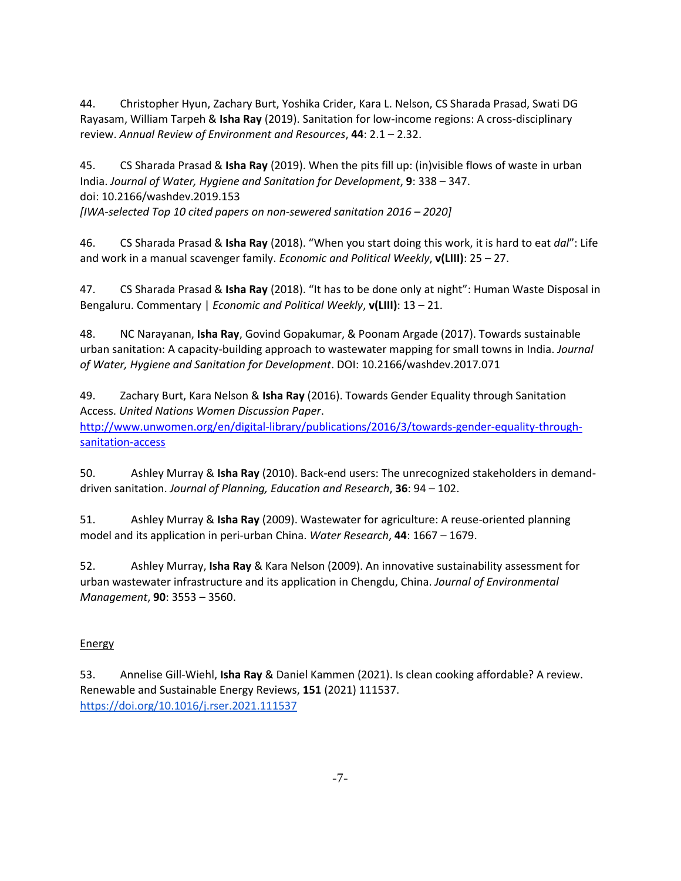44. Christopher Hyun, Zachary Burt, Yoshika Crider, Kara L. Nelson, CS Sharada Prasad, Swati DG Rayasam, William Tarpeh & **Isha Ray** (2019). Sanitation for low-income regions: A cross-disciplinary review. *Annual Review of Environment and Resources*, **44**: 2.1 – 2.32.

45. CS Sharada Prasad & **Isha Ray** (2019). When the pits fill up: (in)visible flows of waste in urban India. *Journal of Water, Hygiene and Sanitation for Development*, **9**: 338 – 347. doi: 10.2166/washdev.2019.153 *[IWA-selected Top 10 cited papers on non-sewered sanitation 2016 – 2020]*

46. CS Sharada Prasad & **Isha Ray** (2018). "When you start doing this work, it is hard to eat *dal*": Life and work in a manual scavenger family. *Economic and Political Weekly*, **v(LIII)**: 25 – 27.

47. CS Sharada Prasad & **Isha Ray** (2018). "It has to be done only at night": Human Waste Disposal in Bengaluru. Commentary | *Economic and Political Weekly*, **v(LIII)**: 13 – 21.

48. NC Narayanan, **Isha Ray**, Govind Gopakumar, & Poonam Argade (2017). Towards sustainable urban sanitation: A capacity-building approach to wastewater mapping for small towns in India. *Journal of Water, Hygiene and Sanitation for Development*. DOI: 10.2166/washdev.2017.071

49. Zachary Burt, Kara Nelson & **Isha Ray** (2016). Towards Gender Equality through Sanitation Access. *United Nations Women Discussion Paper*.

[http://www.unwomen.org/en/digital-library/publications/2016/3/towards-gender-equality-through](http://www.unwomen.org/en/digital-library/publications/2016/3/towards-gender-equality-through-sanitation-access)[sanitation-access](http://www.unwomen.org/en/digital-library/publications/2016/3/towards-gender-equality-through-sanitation-access)

50. Ashley Murray & **Isha Ray** (2010). Back-end users: The unrecognized stakeholders in demanddriven sanitation. *Journal of Planning, Education and Research*, **36**: 94 – 102.

51. Ashley Murray & **Isha Ray** (2009). Wastewater for agriculture: A reuse-oriented planning model and its application in peri-urban China. *Water Research*, **44**: 1667 – 1679.

52. Ashley Murray, **Isha Ray** & Kara Nelson (2009). An innovative sustainability assessment for urban wastewater infrastructure and its application in Chengdu, China. *Journal of Environmental Management*, **90**: 3553 – 3560.

### Energy

53. Annelise Gill-Wiehl, **Isha Ray** & Daniel Kammen (2021). Is clean cooking affordable? A review. Renewable and Sustainable Energy Reviews, **151** (2021) 111537. <https://doi.org/10.1016/j.rser.2021.111537>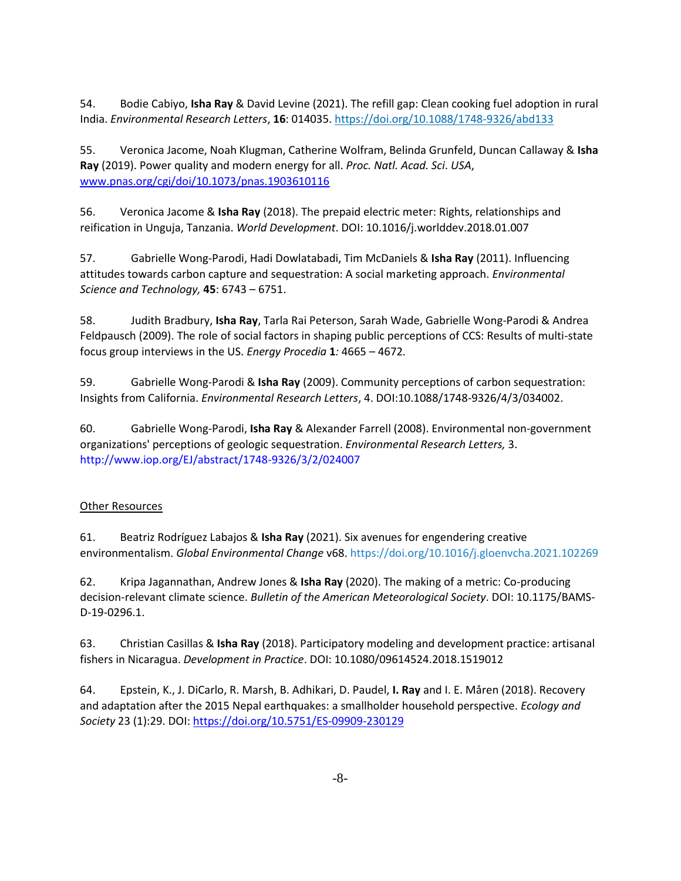54. Bodie Cabiyo, **Isha Ray** & David Levine (2021). The refill gap: Clean cooking fuel adoption in rural India. *Environmental Research Letters*, **16**: 014035.<https://doi.org/10.1088/1748-9326/abd133>

55. Veronica Jacome, Noah Klugman, Catherine Wolfram, Belinda Grunfeld, Duncan Callaway & **Isha Ray** (2019). Power quality and modern energy for all. *Proc. Natl. Acad. Sci*. *USA*, [www.pnas.org/cgi/doi/10.1073/pnas.1903610116](http://www.pnas.org/cgi/doi/10.1073/pnas.1903610116)

56. Veronica Jacome & **Isha Ray** (2018). The prepaid electric meter: Rights, relationships and reification in Unguja, Tanzania. *World Development*. DOI: 10.1016/j.worlddev.2018.01.007

57. Gabrielle Wong-Parodi, Hadi Dowlatabadi, Tim McDaniels & **Isha Ray** (2011). Influencing attitudes towards carbon capture and sequestration: A social marketing approach. *Environmental Science and Technology,* **45**: 6743 – 6751.

58. Judith Bradbury, **Isha Ray**, Tarla Rai Peterson, Sarah Wade, Gabrielle Wong-Parodi & Andrea Feldpausch (2009). The role of social factors in shaping public perceptions of CCS: Results of multi-state focus group interviews in the US. *Energy Procedia* **1***:* 4665 – 4672*.* 

59. Gabrielle Wong-Parodi & **Isha Ray** (2009). Community perceptions of carbon sequestration: Insights from California. *Environmental Research Letters*, 4. DOI:10.1088/1748-9326/4/3/034002.

60. Gabrielle Wong-Parodi, **Isha Ray** & Alexander Farrell (2008). Environmental non-government organizations' perceptions of geologic sequestration. *Environmental Research Letters,* 3. <http://www.iop.org/EJ/abstract/1748-9326/3/2/024007>

### Other Resources

61. Beatriz Rodríguez Labajos & **Isha Ray** (2021). Six avenues for engendering creative environmentalism. *Global Environmental Change* v68. https://doi.org/10.1016/j.gloenvcha.2021.102269

62. Kripa Jagannathan, Andrew Jones & **Isha Ray** (2020). The making of a metric: Co-producing decision-relevant climate science. *Bulletin of the American Meteorological Society*. DOI: 10.1175/BAMS-D-19-0296.1.

63. Christian Casillas & **Isha Ray** (2018). Participatory modeling and development practice: artisanal fishers in Nicaragua. *Development in Practice*. DOI: 10.1080/09614524.2018.1519012

64. Epstein, K., J. DiCarlo, R. Marsh, B. Adhikari, D. Paudel, **I. Ray** and I. E. Måren (2018). Recovery and adaptation after the 2015 Nepal earthquakes: a smallholder household perspective. *Ecology and Society* 23 (1):29. DOI[: https://doi.org/10.5751/ES-09909-230129](https://doi.org/10.5751/ES-09909-230129)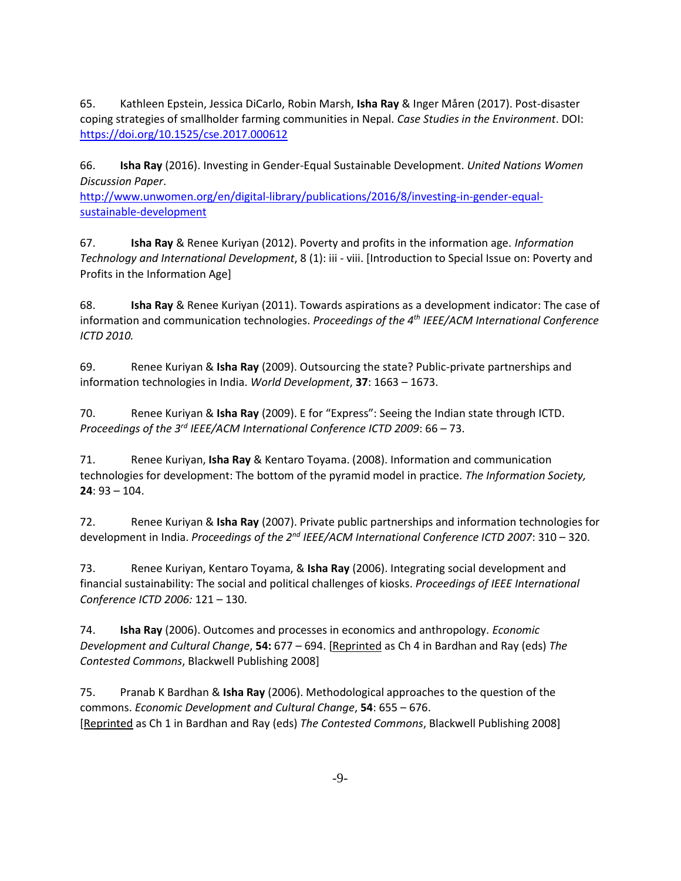65. Kathleen Epstein, Jessica DiCarlo, Robin Marsh, **Isha Ray** & Inger Måren (2017). Post-disaster coping strategies of smallholder farming communities in Nepal. *Case Studies in the Environment*. DOI: <https://doi.org/10.1525/cse.2017.000612>

66. **Isha Ray** (2016). Investing in Gender-Equal Sustainable Development. *United Nations Women Discussion Paper*.

[http://www.unwomen.org/en/digital-library/publications/2016/8/investing-in-gender-equal](http://www.unwomen.org/en/digital-library/publications/2016/8/investing-in-gender-equal-sustainable-development)[sustainable-development](http://www.unwomen.org/en/digital-library/publications/2016/8/investing-in-gender-equal-sustainable-development)

67. **Isha Ray** & Renee Kuriyan (2012). Poverty and profits in the information age. *Information Technology and International Development*, 8 (1): iii - viii. [Introduction to Special Issue on: Poverty and Profits in the Information Age]

68. **Isha Ray** & Renee Kuriyan (2011). Towards aspirations as a development indicator: The case of information and communication technologies. *Proceedings of the 4th IEEE/ACM International Conference ICTD 2010.*

69. Renee Kuriyan & **Isha Ray** (2009). Outsourcing the state? Public-private partnerships and information technologies in India. *World Development*, **37**: 1663 – 1673.

70. Renee Kuriyan & **Isha Ray** (2009). E for "Express": Seeing the Indian state through ICTD. *Proceedings of the 3rd IEEE/ACM International Conference ICTD 2009*: 66 – 73.

71. Renee Kuriyan, **Isha Ray** & Kentaro Toyama. (2008). Information and communication technologies for development: The bottom of the pyramid model in practice. *The Information Society,*  **24**: 93 – 104.

72. Renee Kuriyan & **Isha Ray** (2007). Private public partnerships and information technologies for development in India. *Proceedings of the 2nd IEEE/ACM International Conference ICTD 2007*: 310 – 320.

73. Renee Kuriyan, Kentaro Toyama, & **Isha Ray** (2006). Integrating social development and financial sustainability: The social and political challenges of kiosks. *Proceedings of IEEE International Conference ICTD 2006:* 121 – 130.

74. **Isha Ray** (2006). Outcomes and processes in economics and anthropology. *Economic Development and Cultural Change*, **54:** 677 – 694. [Reprinted as Ch 4 in Bardhan and Ray (eds) *The Contested Commons*, Blackwell Publishing 2008]

75. Pranab K Bardhan & **Isha Ray** (2006). Methodological approaches to the question of the commons. *Economic Development and Cultural Change*, **54**: 655 – 676. [Reprinted as Ch 1 in Bardhan and Ray (eds) *The Contested Commons*, Blackwell Publishing 2008]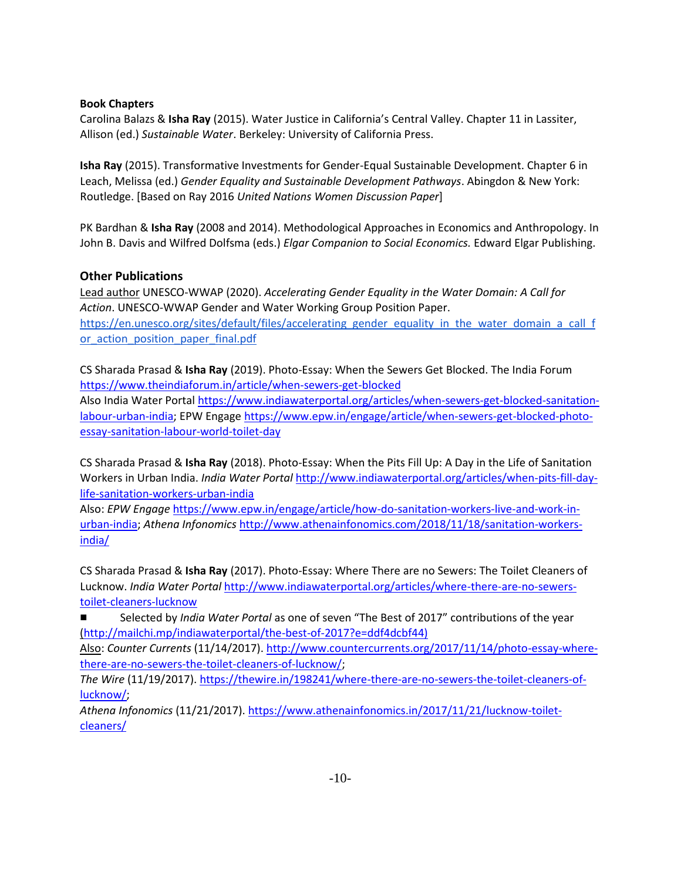### **Book Chapters**

Carolina Balazs & **Isha Ray** (2015). Water Justice in California's Central Valley. Chapter 11 in Lassiter, Allison (ed.) *Sustainable Water*. Berkeley: University of California Press.

**Isha Ray** (2015). Transformative Investments for Gender-Equal Sustainable Development. Chapter 6 in Leach, Melissa (ed.) *Gender Equality and Sustainable Development Pathways*. Abingdon & New York: Routledge. [Based on Ray 2016 *United Nations Women Discussion Paper*]

PK Bardhan & **Isha Ray** (2008 and 2014). Methodological Approaches in Economics and Anthropology. In John B. Davis and Wilfred Dolfsma (eds.) *Elgar Companion to Social Economics.* Edward Elgar Publishing.

### **Other Publications**

Lead author UNESCO-WWAP (2020). *Accelerating Gender Equality in the Water Domain: A Call for Action*. UNESCO-WWAP Gender and Water Working Group Position Paper. [https://en.unesco.org/sites/default/files/accelerating\\_gender\\_equality\\_in\\_the\\_water\\_domain\\_a\\_call\\_f](https://en.unesco.org/sites/default/files/accelerating_gender_equality_in_the_water_domain_a_call_for_action_position_paper_final.pdf) or action position paper final.pdf

CS Sharada Prasad & **Isha Ray** (2019). Photo-Essay: When the Sewers Get Blocked. The India Forum <https://www.theindiaforum.in/article/when-sewers-get-blocked>

Also India Water Portal [https://www.indiawaterportal.org/articles/when-sewers-get-blocked-sanitation](https://www.indiawaterportal.org/articles/when-sewers-get-blocked-sanitation-labour-urban-india)[labour-urban-india;](https://www.indiawaterportal.org/articles/when-sewers-get-blocked-sanitation-labour-urban-india) EPW Engag[e https://www.epw.in/engage/article/when-sewers-get-blocked-photo](https://www.epw.in/engage/article/when-sewers-get-blocked-photo-essay-sanitation-labour-world-toilet-day)[essay-sanitation-labour-world-toilet-day](https://www.epw.in/engage/article/when-sewers-get-blocked-photo-essay-sanitation-labour-world-toilet-day)

CS Sharada Prasad & **Isha Ray** (2018). Photo-Essay: When the Pits Fill Up: A Day in the Life of Sanitation Workers in Urban India. *India Water Portal* [http://www.indiawaterportal.org/articles/when-pits-fill-day](http://www.indiawaterportal.org/articles/when-pits-fill-day-life-sanitation-workers-urban-india)[life-sanitation-workers-urban-india](http://www.indiawaterportal.org/articles/when-pits-fill-day-life-sanitation-workers-urban-india)

Also: *EPW Engage* [https://www.epw.in/engage/article/how-do-sanitation-workers-live-and-work-in](https://www.epw.in/engage/article/how-do-sanitation-workers-live-and-work-in-urban-india)[urban-india;](https://www.epw.in/engage/article/how-do-sanitation-workers-live-and-work-in-urban-india) *Athena Infonomics* [http://www.athenainfonomics.com/2018/11/18/sanitation-workers](http://www.athenainfonomics.com/2018/11/18/sanitation-workers-india/)[india/](http://www.athenainfonomics.com/2018/11/18/sanitation-workers-india/)

CS Sharada Prasad & **Isha Ray** (2017). Photo-Essay: Where There are no Sewers: The Toilet Cleaners of Lucknow. *India Water Portal* [http://www.indiawaterportal.org/articles/where-there-are-no-sewers](http://www.indiawaterportal.org/articles/where-there-are-no-sewers-toilet-cleaners-lucknow)[toilet-cleaners-lucknow](http://www.indiawaterportal.org/articles/where-there-are-no-sewers-toilet-cleaners-lucknow)

■ Selected by *India Water Portal* as one of seven "The Best of 2017" contributions of the year [\(http://mailchi.mp/indiawaterportal/the-best-of-2017?e=ddf4dcbf44\)](http://mailchi.mp/indiawaterportal/the-best-of-2017?e=ddf4dcbf44))

Also: *Counter Currents* (11/14/2017)[. http://www.countercurrents.org/2017/11/14/photo-essay-where](http://www.countercurrents.org/2017/11/14/photo-essay-where-there-are-no-sewers-the-toilet-cleaners-of-lucknow/)[there-are-no-sewers-the-toilet-cleaners-of-lucknow/;](http://www.countercurrents.org/2017/11/14/photo-essay-where-there-are-no-sewers-the-toilet-cleaners-of-lucknow/)

*The Wire* (11/19/2017)[. https://thewire.in/198241/where-there-are-no-sewers-the-toilet-cleaners-of](https://thewire.in/198241/where-there-are-no-sewers-the-toilet-cleaners-of-lucknow/)[lucknow/;](https://thewire.in/198241/where-there-are-no-sewers-the-toilet-cleaners-of-lucknow/)

*Athena Infonomics* (11/21/2017). [https://www.athenainfonomics.in/2017/11/21/lucknow-toilet](https://www.athenainfonomics.in/2017/11/21/lucknow-toilet-cleaners/)[cleaners/](https://www.athenainfonomics.in/2017/11/21/lucknow-toilet-cleaners/)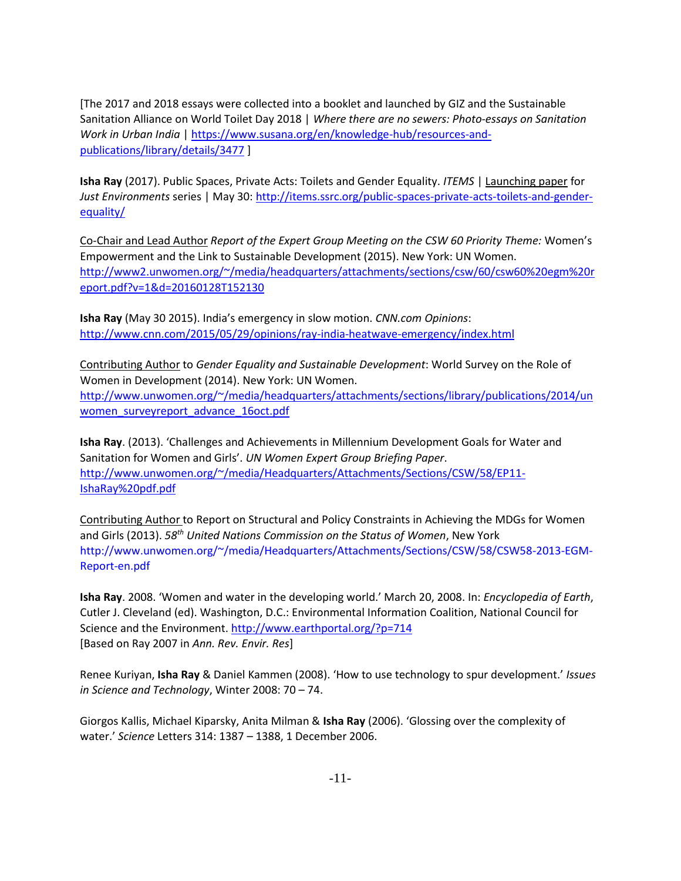[The 2017 and 2018 essays were collected into a booklet and launched by GIZ and the Sustainable Sanitation Alliance on World Toilet Day 2018 | *Where there are no sewers: Photo-essays on Sanitation Work in Urban India* | [https://www.susana.org/en/knowledge-hub/resources-and](https://www.susana.org/en/knowledge-hub/resources-and-publications/library/details/3477)[publications/library/details/3477](https://www.susana.org/en/knowledge-hub/resources-and-publications/library/details/3477) ]

**Isha Ray** (2017). Public Spaces, Private Acts: Toilets and Gender Equality. *ITEMS* | Launching paper for *Just Environments* series | May 30: [http://items.ssrc.org/public-spaces-private-acts-toilets-and-gender](http://items.ssrc.org/public-spaces-private-acts-toilets-and-gender-equality/)[equality/](http://items.ssrc.org/public-spaces-private-acts-toilets-and-gender-equality/)

Co-Chair and Lead Author *Report of the Expert Group Meeting on the CSW 60 Priority Theme:* Women's Empowerment and the Link to Sustainable Development (2015). New York: UN Women. [http://www2.unwomen.org/~/media/headquarters/attachments/sections/csw/60/csw60%20egm%20r](http://www2.unwomen.org/~/media/headquarters/attachments/sections/csw/60/csw60%20egm%20report.pdf?v=1&d=20160128T152130) [eport.pdf?v=1&d=20160128T152130](http://www2.unwomen.org/~/media/headquarters/attachments/sections/csw/60/csw60%20egm%20report.pdf?v=1&d=20160128T152130)

**Isha Ray** (May 30 2015). India's emergency in slow motion. *CNN.com Opinions*: <http://www.cnn.com/2015/05/29/opinions/ray-india-heatwave-emergency/index.html>

Contributing Author to *Gender Equality and Sustainable Development*: World Survey on the Role of Women in Development (2014). New York: UN Women. [http://www.unwomen.org/~/media/headquarters/attachments/sections/library/publications/2014/un](http://www.unwomen.org/~/media/headquarters/attachments/sections/library/publications/2014/unwomen_surveyreport_advance_16oct.pdf) women surveyreport advance 16oct.pdf

**Isha Ray**. (2013). 'Challenges and Achievements in Millennium Development Goals for Water and Sanitation for Women and Girls'. *UN Women Expert Group Briefing Paper*. [http://www.unwomen.org/~/media/Headquarters/Attachments/Sections/CSW/58/EP11-](http://www.unwomen.org/~/media/Headquarters/Attachments/Sections/CSW/58/EP11-IshaRay%20pdf.pdf) [IshaRay%20pdf.pdf](http://www.unwomen.org/~/media/Headquarters/Attachments/Sections/CSW/58/EP11-IshaRay%20pdf.pdf)

Contributing Author to Report on Structural and Policy Constraints in Achieving the MDGs for Women and Girls (2013). *58th United Nations Commission on the Status of Women*, New York [http://www.unwomen.org/~/media/Headquarters/Attachments/Sections/CSW/58/CSW58-2013-EGM-](http://www.unwomen.org/~/media/Headquarters/Attachments/Sections/CSW/58/CSW58-2013-EGM-Report-en.pdf)[Report-en.pdf](http://www.unwomen.org/~/media/Headquarters/Attachments/Sections/CSW/58/CSW58-2013-EGM-Report-en.pdf)

**Isha Ray**. 2008. 'Women and water in the developing world.' March 20, 2008. In: *Encyclopedia of Earth*, Cutler J. Cleveland (ed). Washington, D.C.: Environmental Information Coalition, National Council for Science and the Environment.<http://www.earthportal.org/?p=714> [Based on Ray 2007 in *Ann. Rev. Envir. Res*]

Renee Kuriyan, **Isha Ray** & Daniel Kammen (2008). 'How to use technology to spur development.' *Issues in Science and Technology*, Winter 2008: 70 – 74.

Giorgos Kallis, Michael Kiparsky, Anita Milman & **Isha Ray** (2006). 'Glossing over the complexity of water.' *Science* Letters 314: 1387 – 1388, 1 December 2006.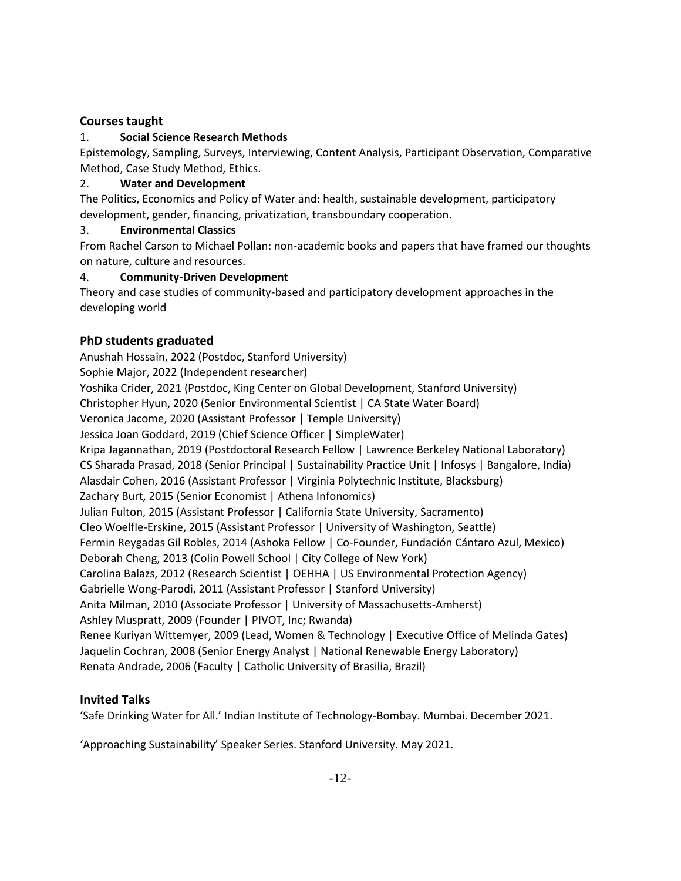## **Courses taught**

## 1. **Social Science Research Methods**

Epistemology, Sampling, Surveys, Interviewing, Content Analysis, Participant Observation, Comparative Method, Case Study Method, Ethics.

## 2. **Water and Development**

The Politics, Economics and Policy of Water and: health, sustainable development, participatory development, gender, financing, privatization, transboundary cooperation.

### 3. **Environmental Classics**

From Rachel Carson to Michael Pollan: non-academic books and papers that have framed our thoughts on nature, culture and resources.

### 4. **Community-Driven Development**

Theory and case studies of community-based and participatory development approaches in the developing world

### **PhD students graduated**

Anushah Hossain, 2022 (Postdoc, Stanford University) Sophie Major, 2022 (Independent researcher) Yoshika Crider, 2021 (Postdoc, King Center on Global Development, Stanford University) Christopher Hyun, 2020 (Senior Environmental Scientist | CA State Water Board) Veronica Jacome, 2020 (Assistant Professor | Temple University) Jessica Joan Goddard, 2019 (Chief Science Officer | SimpleWater) Kripa Jagannathan, 2019 (Postdoctoral Research Fellow | Lawrence Berkeley National Laboratory) CS Sharada Prasad, 2018 (Senior Principal | Sustainability Practice Unit | Infosys | Bangalore, India) Alasdair Cohen, 2016 (Assistant Professor | Virginia Polytechnic Institute, Blacksburg) Zachary Burt, 2015 (Senior Economist | Athena Infonomics) Julian Fulton, 2015 (Assistant Professor | California State University, Sacramento) Cleo Woelfle-Erskine, 2015 (Assistant Professor | University of Washington, Seattle) Fermin Reygadas Gil Robles, 2014 (Ashoka Fellow | Co-Founder, Fundación Cántaro Azul, Mexico) Deborah Cheng, 2013 (Colin Powell School | City College of New York) Carolina Balazs, 2012 (Research Scientist | OEHHA | US Environmental Protection Agency) Gabrielle Wong-Parodi, 2011 (Assistant Professor | Stanford University) Anita Milman, 2010 (Associate Professor | University of Massachusetts-Amherst) Ashley Muspratt, 2009 (Founder | PIVOT, Inc; Rwanda) Renee Kuriyan Wittemyer, 2009 (Lead, Women & Technology | Executive Office of Melinda Gates) Jaquelin Cochran, 2008 (Senior Energy Analyst | National Renewable Energy Laboratory) Renata Andrade, 2006 (Faculty | Catholic University of Brasilia, Brazil)

# **Invited Talks**

'Safe Drinking Water for All.' Indian Institute of Technology-Bombay. Mumbai. December 2021.

'Approaching Sustainability' Speaker Series. Stanford University. May 2021.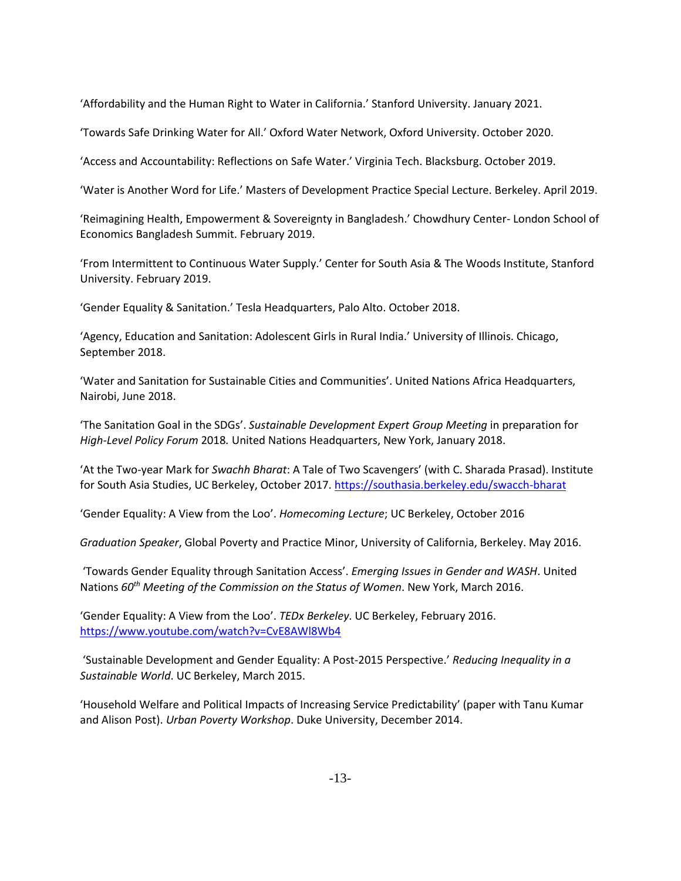'Affordability and the Human Right to Water in California.' Stanford University. January 2021.

'Towards Safe Drinking Water for All.' Oxford Water Network, Oxford University. October 2020.

'Access and Accountability: Reflections on Safe Water.' Virginia Tech. Blacksburg. October 2019.

'Water is Another Word for Life.' Masters of Development Practice Special Lecture. Berkeley. April 2019.

'Reimagining Health, Empowerment & Sovereignty in Bangladesh.' Chowdhury Center- London School of Economics Bangladesh Summit. February 2019.

'From Intermittent to Continuous Water Supply.' Center for South Asia & The Woods Institute, Stanford University. February 2019.

'Gender Equality & Sanitation.' Tesla Headquarters, Palo Alto. October 2018.

'Agency, Education and Sanitation: Adolescent Girls in Rural India.' University of Illinois. Chicago, September 2018.

'Water and Sanitation for Sustainable Cities and Communities'. United Nations Africa Headquarters, Nairobi, June 2018.

'The Sanitation Goal in the SDGs'. *Sustainable Development Expert Group Meeting* in preparation for *High-Level Policy Forum* 2018*.* United Nations Headquarters, New York, January 2018.

'At the Two-year Mark for *Swachh Bharat*: A Tale of Two Scavengers' (with C. Sharada Prasad). Institute for South Asia Studies, UC Berkeley, October 2017.<https://southasia.berkeley.edu/swacch-bharat>

'Gender Equality: A View from the Loo'. *Homecoming Lecture*; UC Berkeley, October 2016

*Graduation Speaker*, Global Poverty and Practice Minor, University of California, Berkeley. May 2016.

'Towards Gender Equality through Sanitation Access'. *Emerging Issues in Gender and WASH*. United Nations *60th Meeting of the Commission on the Status of Women*. New York, March 2016.

'Gender Equality: A View from the Loo'. *TEDx Berkeley*. UC Berkeley, February 2016. <https://www.youtube.com/watch?v=CvE8AWl8Wb4>

'Sustainable Development and Gender Equality: A Post-2015 Perspective.' *Reducing Inequality in a Sustainable World*. UC Berkeley, March 2015.

'Household Welfare and Political Impacts of Increasing Service Predictability' (paper with Tanu Kumar and Alison Post). *Urban Poverty Workshop*. Duke University, December 2014.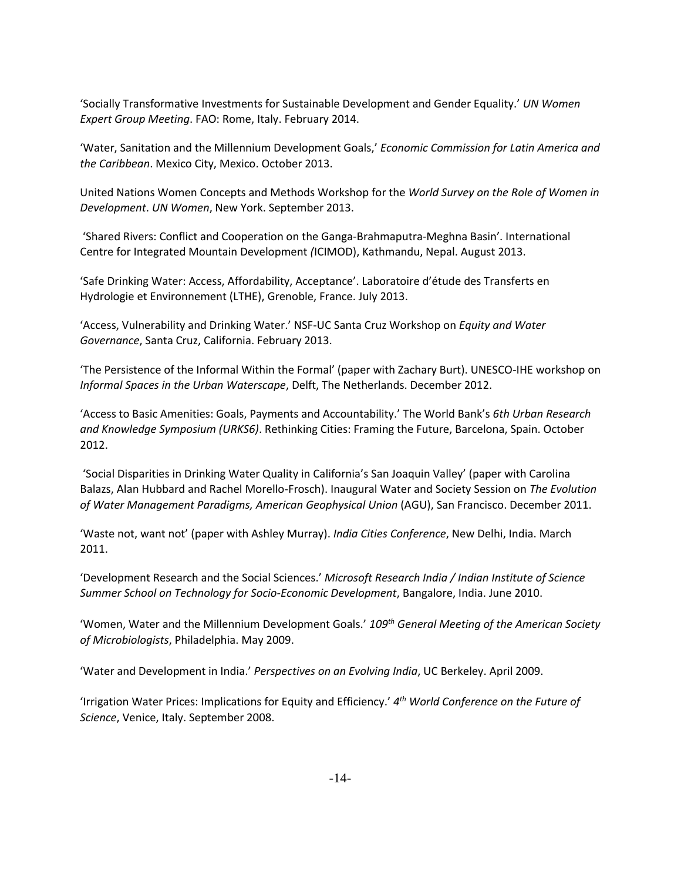'Socially Transformative Investments for Sustainable Development and Gender Equality.' *UN Women Expert Group Meeting*. FAO: Rome, Italy. February 2014.

'Water, Sanitation and the Millennium Development Goals,' *Economic Commission for Latin America and the Caribbean*. Mexico City, Mexico. October 2013.

United Nations Women Concepts and Methods Workshop for the *World Survey on the Role of Women in Development*. *UN Women*, New York. September 2013.

'Shared Rivers: Conflict and Cooperation on the Ganga-Brahmaputra-Meghna Basin'. International Centre for Integrated Mountain Development *(*ICIMOD), Kathmandu, Nepal. August 2013.

'Safe Drinking Water: Access, Affordability, Acceptance'. Laboratoire d'étude des Transferts en Hydrologie et Environnement (LTHE), Grenoble, France. July 2013.

'Access, Vulnerability and Drinking Water.' NSF-UC Santa Cruz Workshop on *Equity and Water Governance*, Santa Cruz, California. February 2013.

'The Persistence of the Informal Within the Formal' (paper with Zachary Burt). UNESCO-IHE workshop on *Informal Spaces in the Urban Waterscape*, Delft, The Netherlands. December 2012.

'Access to Basic Amenities: Goals, Payments and Accountability.' The World Bank's *6th Urban Research and Knowledge Symposium (URKS6)*. Rethinking Cities: Framing the Future, Barcelona, Spain. October 2012.

'Social Disparities in Drinking Water Quality in California's San Joaquin Valley' (paper with Carolina Balazs, Alan Hubbard and Rachel Morello-Frosch). Inaugural Water and Society Session on *The Evolution of Water Management Paradigms, American Geophysical Union* (AGU), San Francisco. December 2011.

'Waste not, want not' (paper with Ashley Murray). *India Cities Conference*, New Delhi, India. March 2011.

'Development Research and the Social Sciences.' *Microsoft Research India / Indian Institute of Science Summer School on Technology for Socio-Economic Development*, Bangalore, India. June 2010.

'Women, Water and the Millennium Development Goals.' *109th General Meeting of the American Society of Microbiologists*, Philadelphia. May 2009.

'Water and Development in India.' *Perspectives on an Evolving India*, UC Berkeley. April 2009.

'Irrigation Water Prices: Implications for Equity and Efficiency.' *4 th World Conference on the Future of Science*, Venice, Italy. September 2008.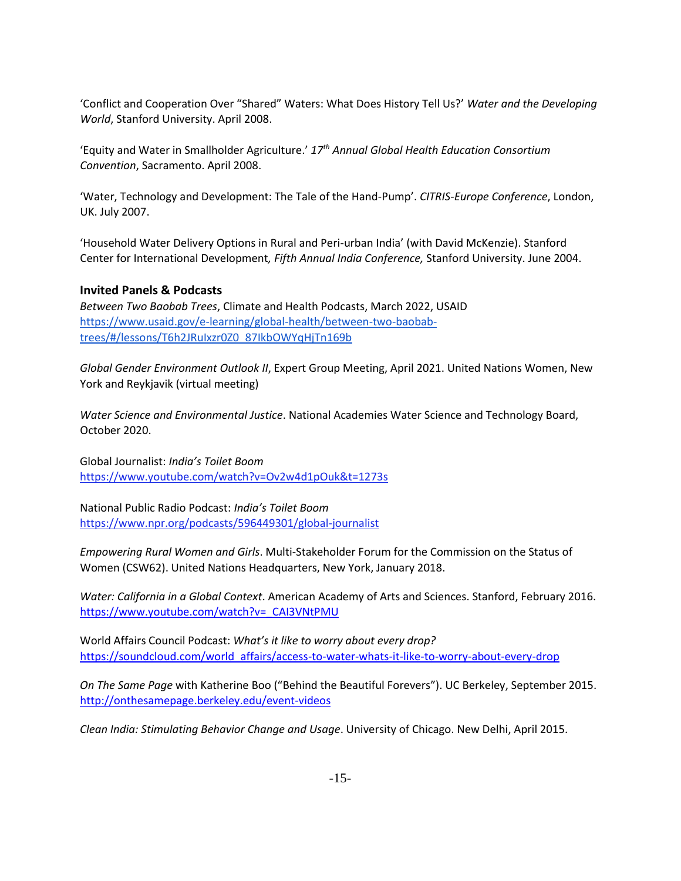'Conflict and Cooperation Over "Shared" Waters: What Does History Tell Us?' *Water and the Developing World*, Stanford University. April 2008.

'Equity and Water in Smallholder Agriculture.' *17th Annual Global Health Education Consortium Convention*, Sacramento. April 2008.

'Water, Technology and Development: The Tale of the Hand-Pump'. *CITRIS-Europe Conference*, London, UK. July 2007.

'Household Water Delivery Options in Rural and Peri-urban India' (with David McKenzie). Stanford Center for International Development*, Fifth Annual India Conference,* Stanford University. June 2004.

### **Invited Panels & Podcasts**

*Between Two Baobab Trees*, Climate and Health Podcasts, March 2022, USAID https://www.usaid.gov/e-learning/global-health/between-two-baobabtrees/#/lessons/T6h2JRuIxzr0Z0\_87IkbOWYqHjTn169b

*Global Gender Environment Outlook II*, Expert Group Meeting, April 2021. United Nations Women, New York and Reykjavik (virtual meeting)

*Water Science and Environmental Justice*. National Academies Water Science and Technology Board, October 2020.

Global Journalist: *India's Toilet Boom* https://www.youtube.com/watch?v=Ov2w4d1pOuk&t=1273s

National Public Radio Podcast: *India's Toilet Boom* https://www.npr.org/podcasts/596449301/global-journalist

*Empowering Rural Women and Girls*. Multi-Stakeholder Forum for the Commission on the Status of Women (CSW62). United Nations Headquarters, New York, January 2018.

*Water: California in a Global Context*. American Academy of Arts and Sciences. Stanford, February 2016. https://www.youtube.com/watch?v=\_CAI3VNtPMU

World Affairs Council Podcast: *What's it like to worry about every drop?* https://soundcloud.com/world\_affairs/access-to-water-whats-it-like-to-worry-about-every-drop

*On The Same Page* with Katherine Boo ("Behind the Beautiful Forevers"). UC Berkeley, September 2015. http://onthesamepage.berkeley.edu/event-videos

*Clean India: Stimulating Behavior Change and Usage*. University of Chicago. New Delhi, April 2015.